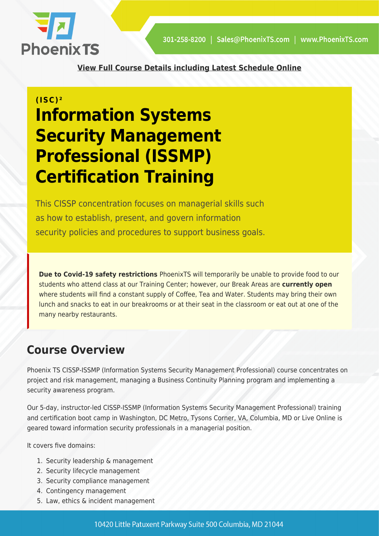

**[View Full Course Details including Latest Schedule Online](https://phoenixts.com/training-courses/cissp-issmp/)**

# **(ISC)² Information Systems Security Management Professional (ISSMP) Certification Training**

This CISSP concentration focuses on managerial skills such as how to establish, present, and govern information security policies and procedures to support business goals.

**Due to Covid-19 safety restrictions** PhoenixTS will temporarily be unable to provide food to our students who attend class at our Training Center; however, our Break Areas are **currently open** where students will find a constant supply of Coffee, Tea and Water. Students may bring their own lunch and snacks to eat in our breakrooms or at their seat in the classroom or eat out at one of the many nearby restaurants.

# **Course Overview**

Phoenix TS CISSP-ISSMP (Information Systems Security Management Professional) course concentrates on project and risk management, managing a Business Continuity Planning program and implementing a security awareness program.

Our 5-day, instructor-led CISSP-ISSMP (Information Systems Security Management Professional) training and certification boot camp in Washington, DC Metro, Tysons Corner, VA, Columbia, MD or Live Online is geared toward information security professionals in a managerial position.

It covers five domains:

- 1. Security leadership & management
- 2. Security lifecycle management
- 3. Security compliance management
- 4. Contingency management
- 5. Law, ethics & incident management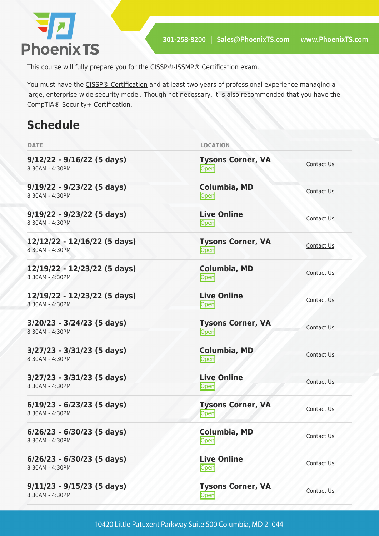

This course will fully prepare you for the CISSP®-ISSMP® Certification exam.

You must have the [CISSP® Certification](https://phoenixts.com/training-courses/cissp-certification-training-washington-dc/) and at least two years of professional experience managing a large, enterprise-wide security model. Though not necessary, it is also recommended that you have the [CompTIA® Security+ Certification.](https://phoenixts.com/training-courses/comptia-security-plus-certification-training/)

# **Schedule**

| <b>DATE</b>                                     | <b>LOCATION</b>                   |            |
|-------------------------------------------------|-----------------------------------|------------|
| $9/12/22 - 9/16/22$ (5 days)<br>8:30AM - 4:30PM | <b>Tysons Corner, VA</b><br>Open  | Contact Us |
| $9/19/22 - 9/23/22$ (5 days)<br>8:30AM - 4:30PM | Columbia, MD<br><b>Open</b>       | Contact Us |
| $9/19/22 - 9/23/22$ (5 days)<br>8:30AM - 4:30PM | <b>Live Online</b><br><b>Open</b> | Contact Us |
| 12/12/22 - 12/16/22 (5 days)<br>8:30AM - 4:30PM | <b>Tysons Corner, VA</b><br>Open  | Contact Us |
| 12/19/22 - 12/23/22 (5 days)<br>8:30AM - 4:30PM | Columbia, MD<br>Open              | Contact Us |
| 12/19/22 - 12/23/22 (5 days)<br>8:30AM - 4:30PM | <b>Live Online</b><br><b>Open</b> | Contact Us |
| $3/20/23 - 3/24/23$ (5 days)<br>8:30AM - 4:30PM | <b>Tysons Corner, VA</b><br>Open  | Contact Us |
| $3/27/23 - 3/31/23$ (5 days)<br>8:30AM - 4:30PM | <b>Columbia, MD</b><br>Open       | Contact Us |
| $3/27/23 - 3/31/23$ (5 days)<br>8:30AM - 4:30PM | <b>Live Online</b><br>Open        | Contact Us |
| $6/19/23 - 6/23/23$ (5 days)<br>8:30AM - 4:30PM | <b>Tysons Corner, VA</b><br>Open  | Contact Us |
| $6/26/23 - 6/30/23$ (5 days)<br>8:30AM - 4:30PM | <b>Columbia, MD</b><br>Open       | Contact Us |
| $6/26/23 - 6/30/23$ (5 days)<br>8:30AM - 4:30PM | <b>Live Online</b><br>Open        | Contact Us |
| $9/11/23 - 9/15/23$ (5 days)<br>8:30AM - 4:30PM | <b>Tysons Corner, VA</b><br>Open  | Contact Us |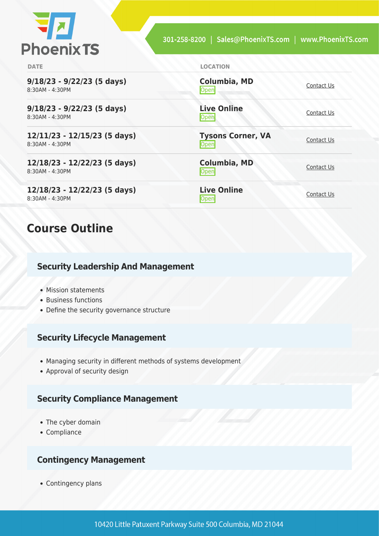

| <b>DATE</b>                                       | <b>LOCATION</b>                         |                   |
|---------------------------------------------------|-----------------------------------------|-------------------|
| $9/18/23 - 9/22/23$ (5 days)<br>8:30AM - 4:30PM   | <b>Columbia, MD</b><br>Open             | Contact Us        |
| $9/18/23 - 9/22/23$ (5 days)<br>8:30AM - 4:30PM   | <b>Live Online</b><br>Open              | Contact Us        |
| $12/11/23 - 12/15/23$ (5 days)<br>8:30AM - 4:30PM | <b>Tysons Corner, VA</b><br><b>Open</b> | Contact Us        |
| 12/18/23 - 12/22/23 (5 days)<br>8:30AM - 4:30PM   | <b>Columbia, MD</b><br>$\mathsf{Open}$  | Contact Us        |
| 12/18/23 - 12/22/23 (5 days)<br>8:30AM - 4:30PM   | <b>Live Online</b><br> Open             | <b>Contact Us</b> |

## **Course Outline**

#### **Security Leadership And Management**

- Mission statements
- Business functions
- Define the security governance structure

#### **Security Lifecycle Management**

- Managing security in different methods of systems development
- Approval of security design

#### **Security Compliance Management**

- The cyber domain
- Compliance

### **Contingency Management**

• Contingency plans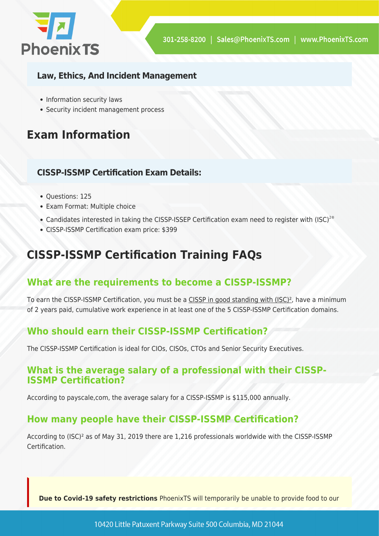

### **Law, Ethics, And Incident Management**

- Information security laws
- Security incident management process

# **Exam Information**

### **CISSP-ISSMP Certification Exam Details:**

- Questions: 125
- Exam Format: Multiple choice
- Candidates interested in taking the CISSP-ISSEP Certification exam need to register with (ISC)<sup>2®</sup>
- CISSP-ISSMP Certification exam price: \$399

# **CISSP-ISSMP Certification Training FAQs**

### **What are the requirements to become a CISSP-ISSMP?**

To earn the CISSP-ISSMP Certification, you must be a CISSP in good standing with (ISC)<sup>2</sup>, have a minimum of 2 years paid, cumulative work experience in at least one of the 5 CISSP-ISSMP Certification domains.

### **Who should earn their CISSP-ISSMP Certification?**

The CISSP-ISSMP Certification is ideal for CIOs, CISOs, CTOs and Senior Security Executives.

### **What is the average salary of a professional with their CISSP-ISSMP Certification?**

According to payscale,com, the average salary for a CISSP-ISSMP is \$115,000 annually.

### **How many people have their CISSP-ISSMP Certification?**

According to (ISC)² as of May 31, 2019 there are 1,216 professionals worldwide with the CISSP-ISSMP Certification.

**Due to Covid-19 safety restrictions** PhoenixTS will temporarily be unable to provide food to our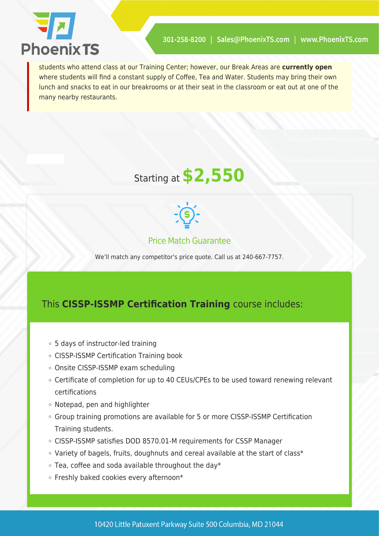

students who attend class at our Training Center; however, our Break Areas are **currently open** where students will find a constant supply of Coffee, Tea and Water. Students may bring their own lunch and snacks to eat in our breakrooms or at their seat in the classroom or eat out at one of the many nearby restaurants.





### Price Match Guarantee

We'll match any competitor's price quote. Call us at 240-667-7757.

### This **CISSP-ISSMP Certification Training** course includes:

- 5 days of instructor-led training
- CISSP-ISSMP Certification Training book
- Onsite CISSP-ISSMP exam scheduling
- Certificate of completion for up to 40 CEUs/CPEs to be used toward renewing relevant certifications
- Notepad, pen and highlighter
- Group training promotions are available for 5 or more CISSP-ISSMP Certification Training students.
- CISSP-ISSMP satisfies DOD 8570.01-M requirements for CSSP Manager
- Variety of bagels, fruits, doughnuts and cereal available at the start of class\*
- $\circ$  Tea, coffee and soda available throughout the day\*
- Freshly baked cookies every afternoon\*